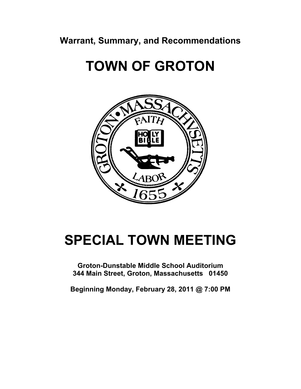**Warrant, Summary, and Recommendations** 

# **TOWN OF GROTON**



# **SPECIAL TOWN MEETING**

**Groton-Dunstable Middle School Auditorium 344 Main Street, Groton, Massachusetts 01450** 

**Beginning Monday, February 28, 2011 @ 7:00 PM**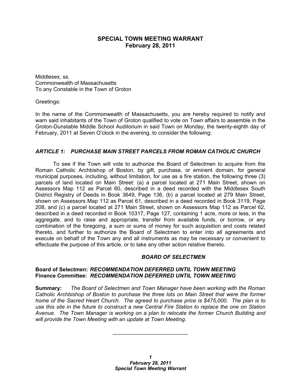# **SPECIAL TOWN MEETING WARRANT February 28, 2011**

Middlesex, ss. Commonwealth of Massachusetts To any Constable in the Town of Groton

Greetings:

In the name of the Commonwealth of Massachusetts, you are hereby required to notify and warn said inhabitants of the Town of Groton qualified to vote on Town affairs to assemble in the Groton-Dunstable Middle School Auditorium in said Town on Monday, the twenty-eighth day of February, 2011 at Seven O'clock in the evening, to consider the following:

# *ARTICLE 1: PURCHASE MAIN STREET PARCELS FROM ROMAN CATHOLIC CHURCH*

 To see if the Town will vote to authorize the Board of Selectmen to acquire from the Roman Catholic Archbishop of Boston, by gift, purchase, or eminent domain, for general municipal purposes, including, without limitation, for use as a fire station, the following three (3) parcels of land located on Main Street: (a) a parcel located at 271 Main Street, shown on Assessors Map 112 as Parcel 60, described in a deed recorded with the Middlesex South District Registry of Deeds in Book 3649, Page 136, (b) a parcel located at 279 Main Street, shown on Assessors Map 112 as Parcel 61, described in a deed recorded in Book 3119, Page 208, and (c) a parcel located at 271 Main Street, shown on Assessors Map 112 as Parcel 62, described in a deed recorded in Book 10317, Page 127, containing 1 acre, more or less, in the aggregate, and to raise and appropriate, transfer from available funds, or borrow, or any combination of the foregoing, a sum or sums of money for such acquisition and costs related thereto, and further to authorize the Board of Selectmen to enter into all agreements and execute on behalf of the Town any and all instruments as may be necessary or convenient to effectuate the purpose of this article, or to take any other action relative thereto.

# *BOARD OF SELECTMEN*

## **Board of Selectmen:** *RECOMMENDATION DEFERRED UNTIL TOWN MEETING* **Finance Committee:** *RECOMMENDATION DEFERRED UNTIL TOWN MEETING*

**Summary:** *The Board of Selectmen and Town Manager have been working with the Roman Catholic Archbishop of Boston to purchase the three lots on Main Street that were the former home of the Sacred Heart Church. The agreed to purchase price is \$475,000. The plan is to use this site in the future to construct a new Central Fire Station to replace the one on Station Avenue. The Town Manager is working on a plan to relocate the former Church Building and will provide the Town Meeting with an update at Town Meeting.* 

\_\_\_\_\_\_\_\_\_\_\_\_\_\_\_\_\_\_\_\_\_\_\_\_\_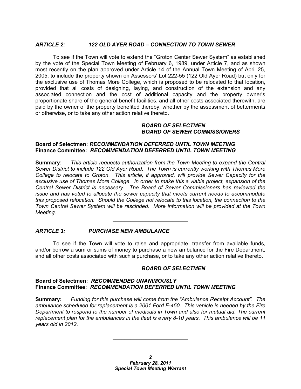## *ARTICLE 2: 122 OLD AYER ROAD – CONNECTION TO TOWN SEWER*

 To see if the Town will vote to extend the "Groton Center Sewer System" as established by the vote of the Special Town Meeting of February 6, 1989, under Article 7, and as shown most recently on the plan approved under Article 14 of the Annual Town Meeting of April 25, 2005, to include the property shown on Assessors' Lot 222-55 (122 Old Ayer Road) but only for the exclusive use of Thomas More College, which is proposed to be relocated to that location, provided that all costs of designing, laying, and construction of the extension and any associated connection and the cost of additional capacity and the property owner's proportionate share of the general benefit facilities, and all other costs associated therewith, are paid by the owner of the property benefited thereby, whether by the assessment of betterments or otherwise, or to take any other action relative thereto.

### *BOARD OF SELECTMEN BOARD OF SEWER COMMISSIONERS*

### **Board of Selectmen:** *RECOMMENDATION DEFERRED UNTIL TOWN MEETING* **Finance Committee:** *RECOMMENDATION DEFERRED UNTIL TOWN MEETING*

**Summary:** *This article requests authorization from the Town Meeting to expand the Central Sewer District to include 122 Old Ayer Road. The Town is currently working with Thomas More College to relocate to Groton. This article, if approved, will provide Sewer Capacity for the exclusive use of Thomas More College. In order to make this a viable project, expansion of the Central Sewer District is necessary. The Board of Sewer Commissioners has reviewed the issue and has voted to allocate the sewer capacity that meets current needs to accommodate this proposed relocation. Should the College not relocate to this location, the connection to the Town Central Sewer System will be rescinded. More information will be provided at the Town Meeting.* 

## *ARTICLE 3: PURCHASE NEW AMBULANCE*

 To see if the Town will vote to raise and appropriate, transfer from available funds, and/or borrow a sum or sums of money to purchase a new ambulance for the Fire Department, and all other costs associated with such a purchase, or to take any other action relative thereto.

\_\_\_\_\_\_\_\_\_\_\_\_\_\_\_\_\_\_\_\_\_\_\_\_\_

#### *BOARD OF SELECTMEN*

#### **Board of Selectmen:** *RECOMMENDED UNANIMOUSLY* **Finance Committee:** *RECOMMENDATION DEFERRED UNTIL TOWN MEETING*

**Summary:** *Funding for this purchase will come from the "Ambulance Receipt Account". The ambulance scheduled for replacement is a 2001 Ford F-450. This vehicle is needed by the Fire Department to respond to the number of medicals in Town and also for mutual aid. The current replacement plan for the ambulances in the fleet is every 8-10 years. This ambulance will be 11 years old in 2012.* 

\_\_\_\_\_\_\_\_\_\_\_\_\_\_\_\_\_\_\_\_\_\_\_\_\_